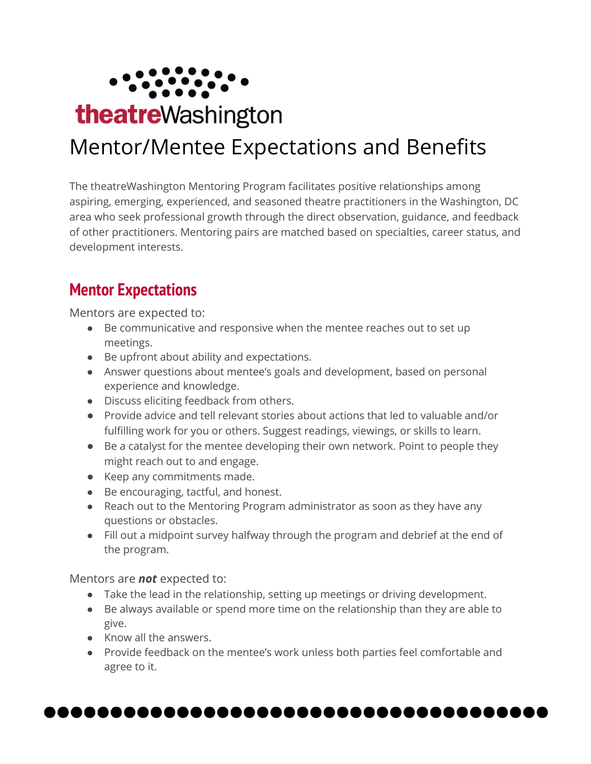

# Mentor/Mentee Expectations and Benefits

The theatreWashington Mentoring Program facilitates positive relationships among aspiring, emerging, experienced, and seasoned theatre practitioners in the Washington, DC area who seek professional growth through the direct observation, guidance, and feedback of other practitioners. Mentoring pairs are matched based on specialties, career status, and development interests.

## **Mentor Expectations**

Mentors are expected to:

- Be communicative and responsive when the mentee reaches out to set up meetings.
- Be upfront about ability and expectations.
- Answer questions about mentee's goals and development, based on personal experience and knowledge.
- Discuss eliciting feedback from others.
- Provide advice and tell relevant stories about actions that led to valuable and/or fulfilling work for you or others. Suggest readings, viewings, or skills to learn.
- Be a catalyst for the mentee developing their own network. Point to people they might reach out to and engage.
- Keep any commitments made.
- Be encouraging, tactful, and honest.
- Reach out to the Mentoring Program administrator as soon as they have any questions or obstacles.
- Fill out a midpoint survey halfway through the program and debrief at the end of the program.

Mentors are *not* expected to:

- Take the lead in the relationship, setting up meetings or driving development.
- Be always available or spend more time on the relationship than they are able to give.
- Know all the answers.
- Provide feedback on the mentee's work unless both parties feel comfortable and agree to it.

, . . . . . . .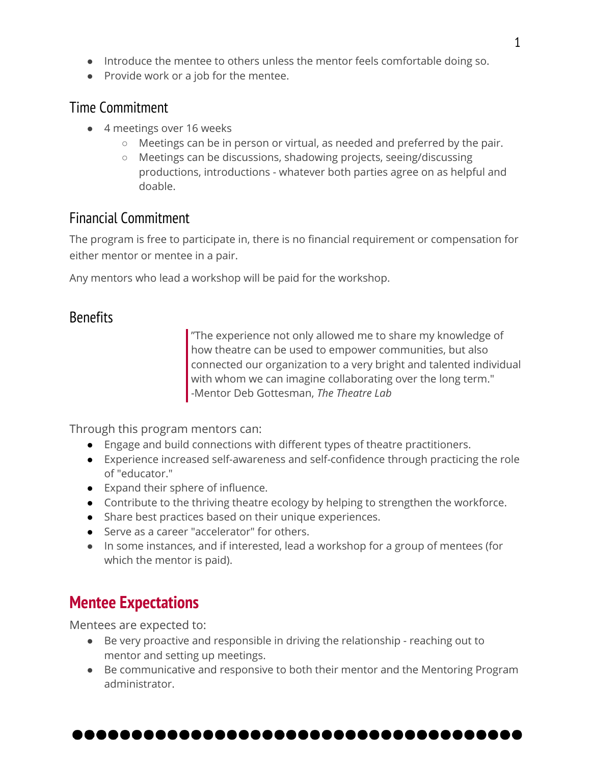- Introduce the mentee to others unless the mentor feels comfortable doing so.
- Provide work or a job for the mentee.

#### Time Commitment

- 4 meetings over 16 weeks
	- Meetings can be in person or virtual, as needed and preferred by the pair.
	- Meetings can be discussions, shadowing projects, seeing/discussing productions, introductions - whatever both parties agree on as helpful and doable.

### Financial Commitment

The program is free to participate in, there is no financial requirement or compensation for either mentor or mentee in a pair.

Any mentors who lead a workshop will be paid for the workshop.

#### Benefits

"The experience not only allowed me to share my knowledge of how theatre can be used to empower communities, but also connected our organization to a very bright and talented individual with whom we can imagine collaborating over the long term." -Mentor Deb Gottesman, *The Theatre Lab*

Through this program mentors can:

- Engage and build connections with different types of theatre practitioners.
- Experience increased self-awareness and self-confidence through practicing the role of "educator."
- Expand their sphere of influence.
- Contribute to the thriving theatre ecology by helping to strengthen the workforce.
- Share best practices based on their unique experiences.
- Serve as a career "accelerator" for others.
- In some instances, and if interested, lead a workshop for a group of mentees (for which the mentor is paid).

## **Mentee Expectations**

Mentees are expected to:

- Be very proactive and responsible in driving the relationship reaching out to mentor and setting up meetings.
- Be communicative and responsive to both their mentor and the Mentoring Program administrator.

#### ...................................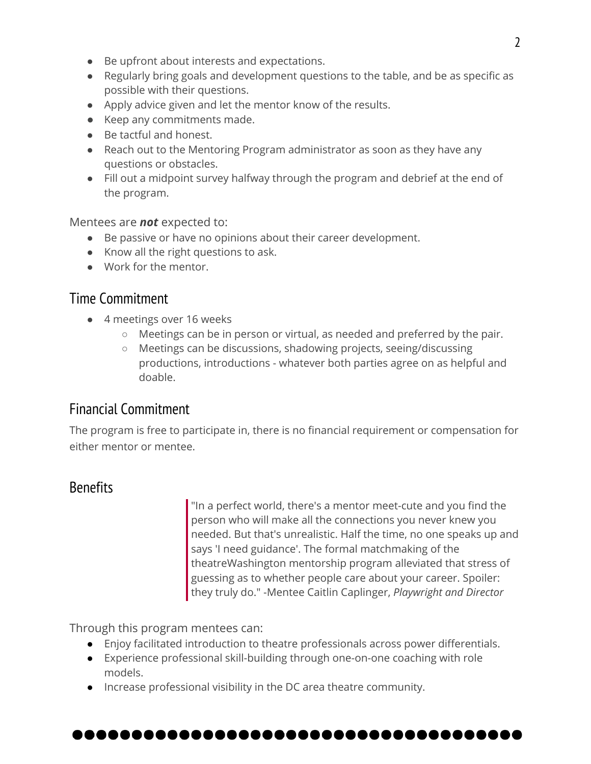- Be upfront about interests and expectations.
- Regularly bring goals and development questions to the table, and be as specific as possible with their questions.
- Apply advice given and let the mentor know of the results.
- Keep any commitments made.
- Be tactful and honest.
- Reach out to the Mentoring Program administrator as soon as they have any questions or obstacles.
- Fill out a midpoint survey halfway through the program and debrief at the end of the program.

Mentees are *not* expected to:

- Be passive or have no opinions about their career development.
- Know all the right questions to ask.
- Work for the mentor.

#### Time Commitment

- 4 meetings over 16 weeks
	- Meetings can be in person or virtual, as needed and preferred by the pair.
	- Meetings can be discussions, shadowing projects, seeing/discussing productions, introductions - whatever both parties agree on as helpful and doable.

#### Financial Commitment

The program is free to participate in, there is no financial requirement or compensation for either mentor or mentee.

#### **Benefits**

"In a perfect world, there's a mentor meet-cute and you find the person who will make all the connections you never knew you needed. But that's unrealistic. Half the time, no one speaks up and says 'I need guidance'. The formal matchmaking of the theatreWashington mentorship program alleviated that stress of guessing as to whether people care about your career. Spoiler: they truly do." -Mentee Caitlin Caplinger, *Playwright and Director*

Through this program mentees can:

- Enjoy facilitated introduction to theatre professionals across power differentials.
- Experience professional skill-building through one-on-one coaching with role models.
- Increase professional visibility in the DC area theatre community.

#### .....................................